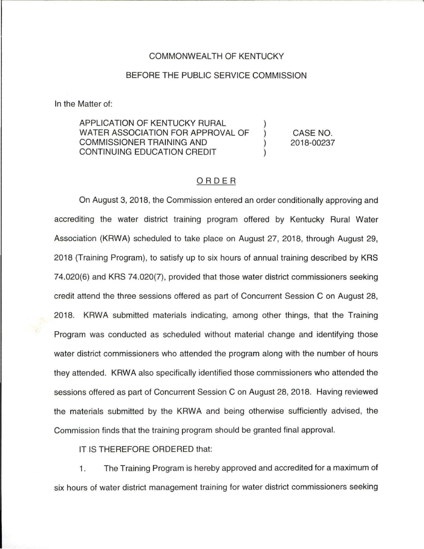## COMMONWEALTH OF KENTUCKY

## BEFORE THE PUBLIC SERVICE COMMISSION

In the Matter of:

APPLICATION OF KENTUCKY RURAL WATER ASSOCIATION FOR APPROVAL OF COMMISSIONER TRAINING ANO ) CONTINUING EDUCATION CREDIT CASE NO. 2018-00237

## ORDER

On August 3, 2018, the Commission entered an order conditionally approving and accrediting the water district training program offered by Kentucky Rural Water Association (KAWA) scheduled to take place on August 27, 2018, through August 29, 2018 (Training Program), to satisfy up to six hours of annual training described by KRS 74.020(6) and KRS 74.020(7), provided that those water district commissioners seeking credit attend the three sessions offered as part of Concurrent Session C on August 28, 2018. KAWA submitted materials indicating, among other things, that the Training Program was conducted as scheduled without material change and identifying those water district commissioners who attended the program along with the number of hours they attended. KAWA also specifically identified those commissioners who attended the sessions offered as part of Concurrent Session C on August 28, 2018. Having reviewed the materials submitted by the KAWA and being otherwise sufficiently advised, the Commission finds that the training program should be granted final approval.

IT IS THEREFORE ORDERED that:

1. The Training Program is hereby approved and accredited for a maximum of six hours of water district management training for water district commissioners seeking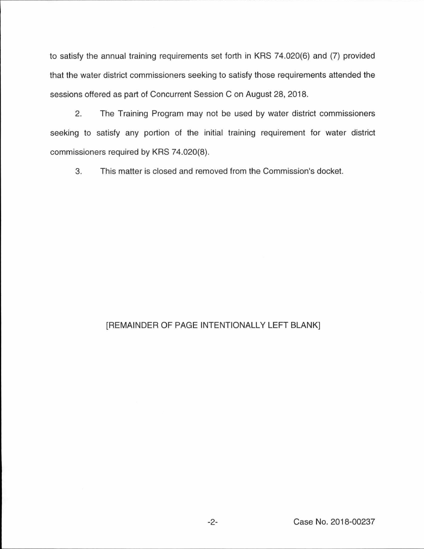to satisfy the annual training requirements set forth in KRS 74.020(6) and (7) provided that the water district commissioners seeking to satisfy those requirements attended the sessions offered as part of Concurrent Session C on August 28, 2018.

2. The Training Program may not be used by water district commissioners seeking to satisfy any portion of the initial training requirement for water district commissioners required by KRS 74.020(8).

3. This matter is closed and removed from the Commission's docket.

## [REMAINDER OF PAGE INTENTIONALLY LEFT BLANK]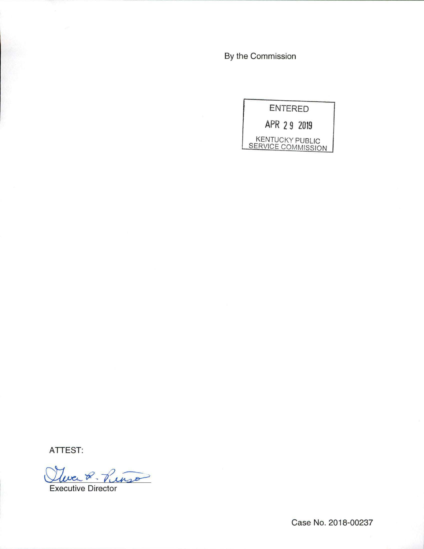By the Commission

ENTERED APR 2 9 2019 KENTUCKY PUBLIC

SERVICE COMMISSION

ATTEST:

Clever 2 Puisson

Executive Director

Case No. 2018-00237